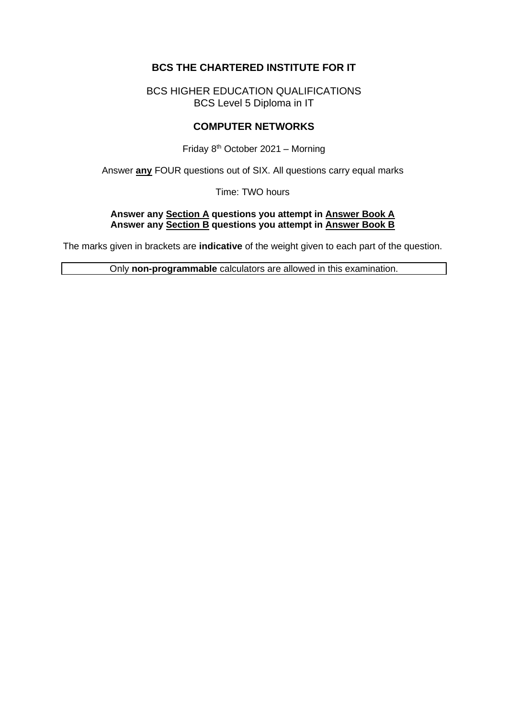# **BCS THE CHARTERED INSTITUTE FOR IT**

BCS HIGHER EDUCATION QUALIFICATIONS BCS Level 5 Diploma in IT

## **COMPUTER NETWORKS**

Friday  $8<sup>th</sup>$  October 2021 – Morning

Answer **any** FOUR questions out of SIX. All questions carry equal marks

Time: TWO hours

### **Answer any Section A questions you attempt in Answer Book A Answer any Section B questions you attempt in Answer Book B**

The marks given in brackets are **indicative** of the weight given to each part of the question.

Only **non-programmable** calculators are allowed in this examination.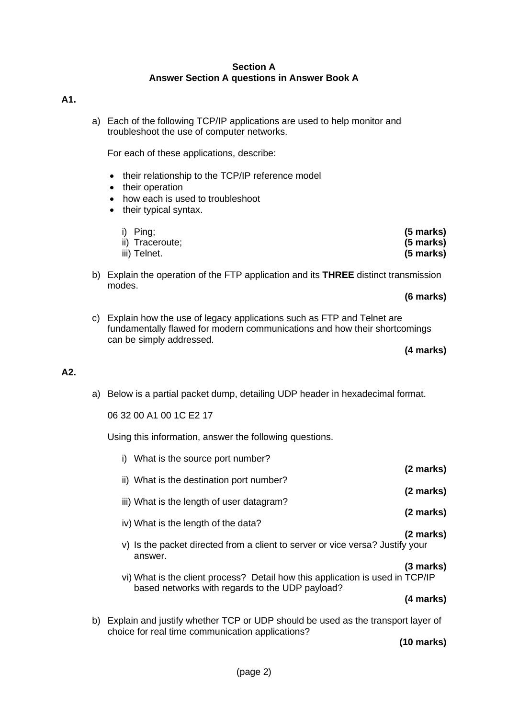#### **Section A Answer Section A questions in Answer Book A**

#### **A1.**

a) Each of the following TCP/IP applications are used to help monitor and troubleshoot the use of computer networks.

For each of these applications, describe:

- their relationship to the TCP/IP reference model
- their operation
- how each is used to troubleshoot
- their typical syntax.

| i) Ping;        | (5 marks)   |
|-----------------|-------------|
| ii) Traceroute; | $(5$ marks) |
| iii) Telnet.    | $(5$ marks) |

b) Explain the operation of the FTP application and its **THREE** distinct transmission modes.

**(6 marks)**

c) Explain how the use of legacy applications such as FTP and Telnet are fundamentally flawed for modern communications and how their shortcomings can be simply addressed.

**(4 marks)**

### **A2.**

a) Below is a partial packet dump, detailing UDP header in hexadecimal format.

06 32 00 A1 00 1C E2 17

Using this information, answer the following questions.

| i) What is the source port number?                                                                                               |           |
|----------------------------------------------------------------------------------------------------------------------------------|-----------|
|                                                                                                                                  | (2 marks) |
| ii) What is the destination port number?                                                                                         | (2 marks) |
| iii) What is the length of user datagram?                                                                                        |           |
|                                                                                                                                  | (2 marks) |
| iv) What is the length of the data?                                                                                              | (2 marks) |
| v) Is the packet directed from a client to server or vice versa? Justify your<br>answer.                                         |           |
| vi) What is the client process? Detail how this application is used in TCP/IP<br>based networks with regards to the UDP payload? | (3 marks) |
|                                                                                                                                  | (4 marks) |
|                                                                                                                                  |           |

b) Explain and justify whether TCP or UDP should be used as the transport layer of choice for real time communication applications?

**(10 marks)**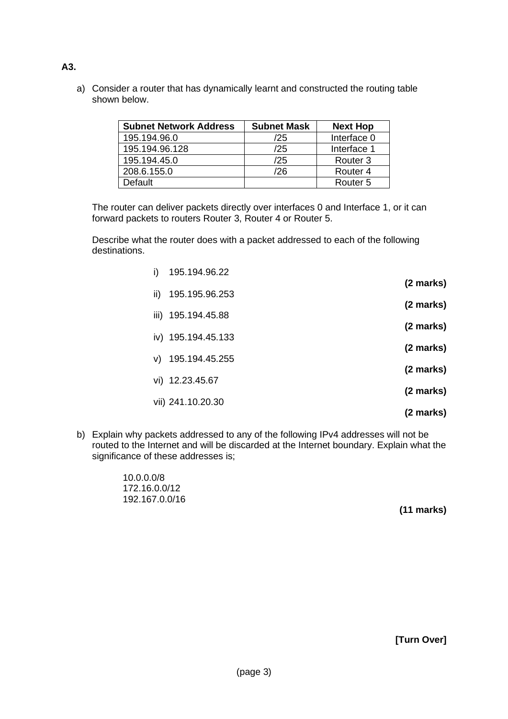a) Consider a router that has dynamically learnt and constructed the routing table shown below.

| <b>Subnet Network Address</b> | <b>Subnet Mask</b> | <b>Next Hop</b>     |
|-------------------------------|--------------------|---------------------|
| 195.194.96.0                  | /25                | Interface 0         |
| 195.194.96.128                | /25                | Interface 1         |
| 195.194.45.0                  | /25                | Router <sub>3</sub> |
| 208.6.155.0                   | '26                | Router <sub>4</sub> |
| Default                       |                    | Router <sub>5</sub> |

The router can deliver packets directly over interfaces 0 and Interface 1, or it can forward packets to routers Router 3, Router 4 or Router 5.

Describe what the router does with a packet addressed to each of the following destinations.

| i)  | 195.194.96.22      |           |
|-----|--------------------|-----------|
|     |                    | (2 marks) |
| ii) | 195.195.96.253     |           |
|     | iii) 195.194.45.88 | (2 marks) |
|     |                    | (2 marks) |
|     | iv) 195.194.45.133 |           |
|     | v) 195.194.45.255  | (2 marks) |
|     |                    | (2 marks) |
|     | vi) 12.23.45.67    |           |
|     | vii) 241.10.20.30  | (2 marks) |
|     |                    | (2 marks) |

b) Explain why packets addressed to any of the following IPv4 addresses will not be routed to the Internet and will be discarded at the Internet boundary. Explain what the significance of these addresses is;

> 10.0.0.0/8 172.16.0.0/12 192.167.0.0/16

**(11 marks)**

**[Turn Over]**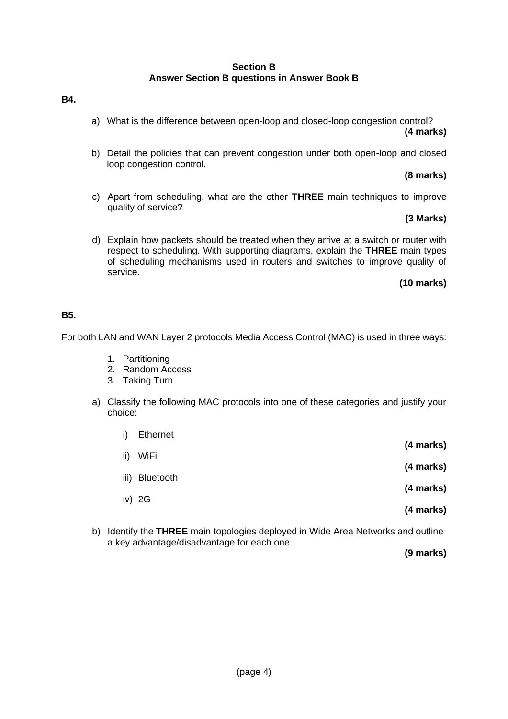### **Section B Answer Section B questions in Answer Book B**

- **B4.**
- a) What is the difference between open-loop and closed-loop congestion control? **(4 marks)**
- b) Detail the policies that can prevent congestion under both open-loop and closed loop congestion control.

### **(8 marks)**

c) Apart from scheduling, what are the other **THREE** main techniques to improve quality of service?

### **(3 Marks)**

d) Explain how packets should be treated when they arrive at a switch or router with respect to scheduling. With supporting diagrams, explain the **THREE** main types of scheduling mechanisms used in routers and switches to improve quality of service.

### **(10 marks)**

### **B5.**

For both LAN and WAN Layer 2 protocols Media Access Control (MAC) is used in three ways:

- 1. Partitioning
- 2. Random Access
- 3. Taking Turn
- a) Classify the following MAC protocols into one of these categories and justify your choice:

| i)   | <b>Ethernet</b> |           |
|------|-----------------|-----------|
| ii)  | WiFi            | (4 marks) |
|      |                 | (4 marks) |
| iii) | Bluetooth       | (4 marks) |
|      | iv) $2G$        |           |
|      |                 | (4 marks) |

b) Identify the **THREE** main topologies deployed in Wide Area Networks and outline a key advantage/disadvantage for each one.

**(9 marks)**